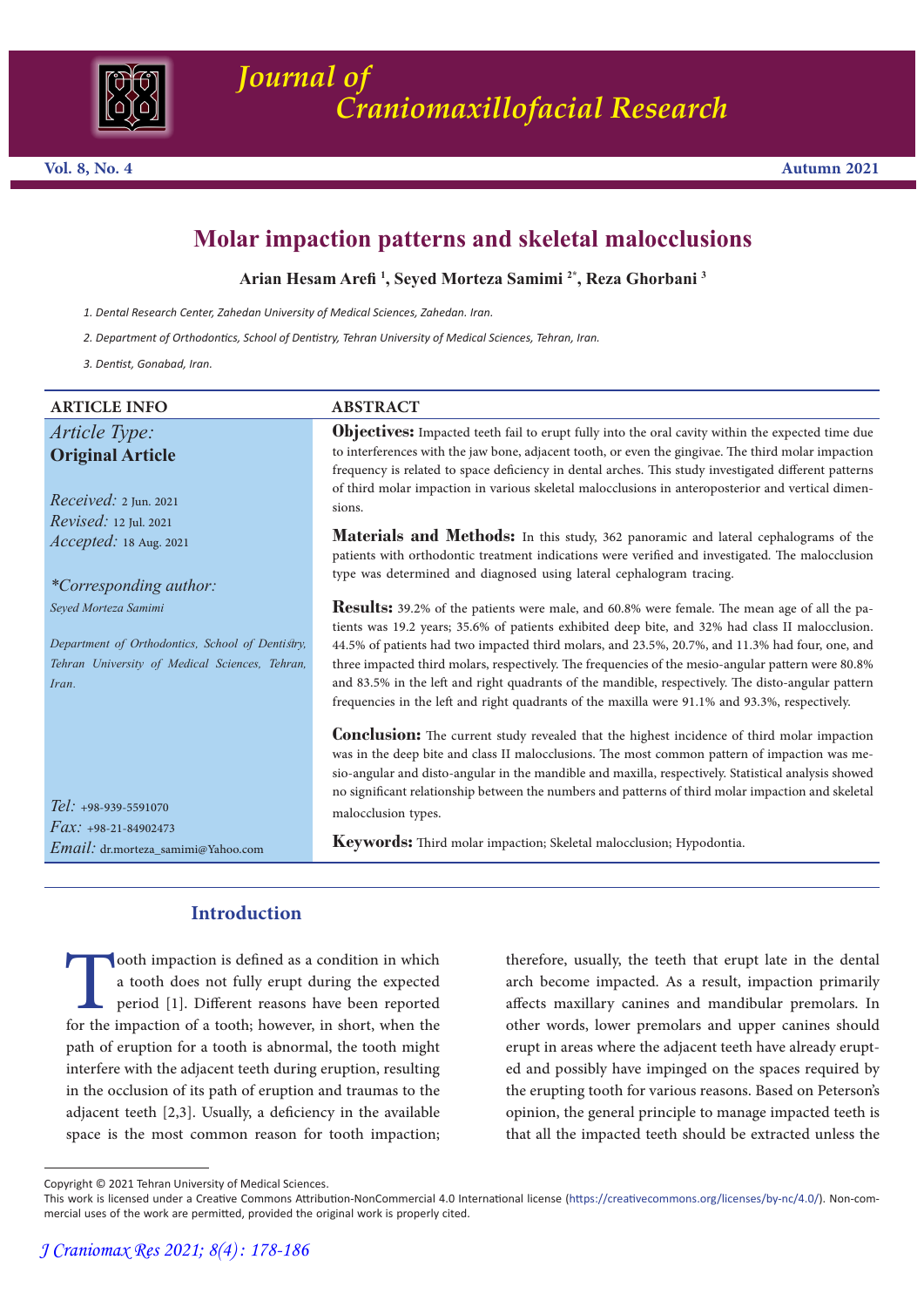

# **Molar impaction patterns and skeletal malocclusions**

**Arian Hesam Arefi <sup>1</sup> , Seyed Morteza Samimi 2\*, Reza Ghorbani 3**

- *1. Dental Research Center, Zahedan University of Medical Sciences, Zahedan. Iran.*
- *2. Department of Orthodontics, School of Dentistry, Tehran University of Medical Sciences, Tehran, Iran.*

*3. Dentist, Gonabad, Iran.*

*Article Type:* **Original Article**

*Received:* 2 Jun. 2021 *Revised:* 12 Jul. 2021 *Accepted:* 18 Aug. 2021

*Seyed Morteza Samimi*

*Tel: +*98-939-5591070 *Fax: +*98-21-84902473

*Email:* dr.morteza\_samimi@Yahoo.com

*Iran.*

*\*Corresponding author:*

*Department of Orthodontics, School of Dentistry, Tehran University of Medical Sciences, Tehran,* 

## **ARTICLE INFO** ABSTRACT

**Objectives:** Impacted teeth fail to erupt fully into the oral cavity within the expected time due to interferences with the jaw bone, adjacent tooth, or even the gingivae. The third molar impaction frequency is related to space deficiency in dental arches. This study investigated different patterns of third molar impaction in various skeletal malocclusions in anteroposterior and vertical dimen- sions.

**Materials and Methods:** In this study, 362 panoramic and lateral cephalograms of the patients with orthodontic treatment indications were verified and investigated. The malocclusion type was determined and diagnosed using lateral cephalogram tracing.

**Results:** 39.2% of the patients were male, and 60.8% were female. The mean age of all the patients was 19.2 years; 35.6% of patients exhibited deep bite, and 32% had class II malocclusion. 44.5% of patients had two impacted third molars, and 23.5%, 20.7%, and 11.3% had four, one, and three impacted third molars, respectively. The frequencies of the mesio-angular pattern were 80.8% and 83.5% in the left and right quadrants of the mandible, respectively. The disto-angular pattern frequencies in the left and right quadrants of the maxilla were 91.1% and 93.3%, respectively.

**Conclusion:** The current study revealed that the highest incidence of third molar impaction was me-<br>was in the deep bite and class II malocclusions. The most common pattern of impaction was mesio-angular and disto-angular in the mandible and maxilla, respectively. Statistical analysis showed no significant relationship between the numbers and patterns of third molar impaction and skeletal malocclusion types.

**Keywords:** Third molar impaction; Skeletal malocclusion; Hypodontia.

## **Introduction**

ooth impaction is defined as a condition in which<br>a tooth does not fully erupt during the expected<br>period [1]. Different reasons have been reported<br>for the impaction of a tooth; however, in short, when the<br>path of eruption a tooth does not fully erupt during the expected period [1]. Different reasons have been reported for the impaction of a tooth; however, in short, when the path of eruption for a tooth is abnormal, the tooth might interfere with the adjacent teeth during eruption, resulting in the occlusion of its path of eruption and traumas to the adjacent teeth [2,3]. Usually, a deficiency in the available space is the most common reason for tooth impaction;

therefore, usually, the teeth that erupt late in the dental arch become impacted. As a result, impaction primarily affects maxillary canines and mandibular premolars. In other words, lower premolars and upper canines should erupt in areas where the adjacent teeth have already erupted and possibly have impinged on the spaces required by the erupting tooth for various reasons. Based on Peterson's opinion, the general principle to manage impacted teeth is that all the impacted teeth should be extracted unless the

Copyright © 2021 Tehran University of Medical Sciences.

This work is licensed under a Creative Commons Attribution-NonCommercial 4.0 International license (https://creativecommons.org/licenses/by-nc/4.0/). Non-commercial uses of the work are permitted, provided the original work is properly cited.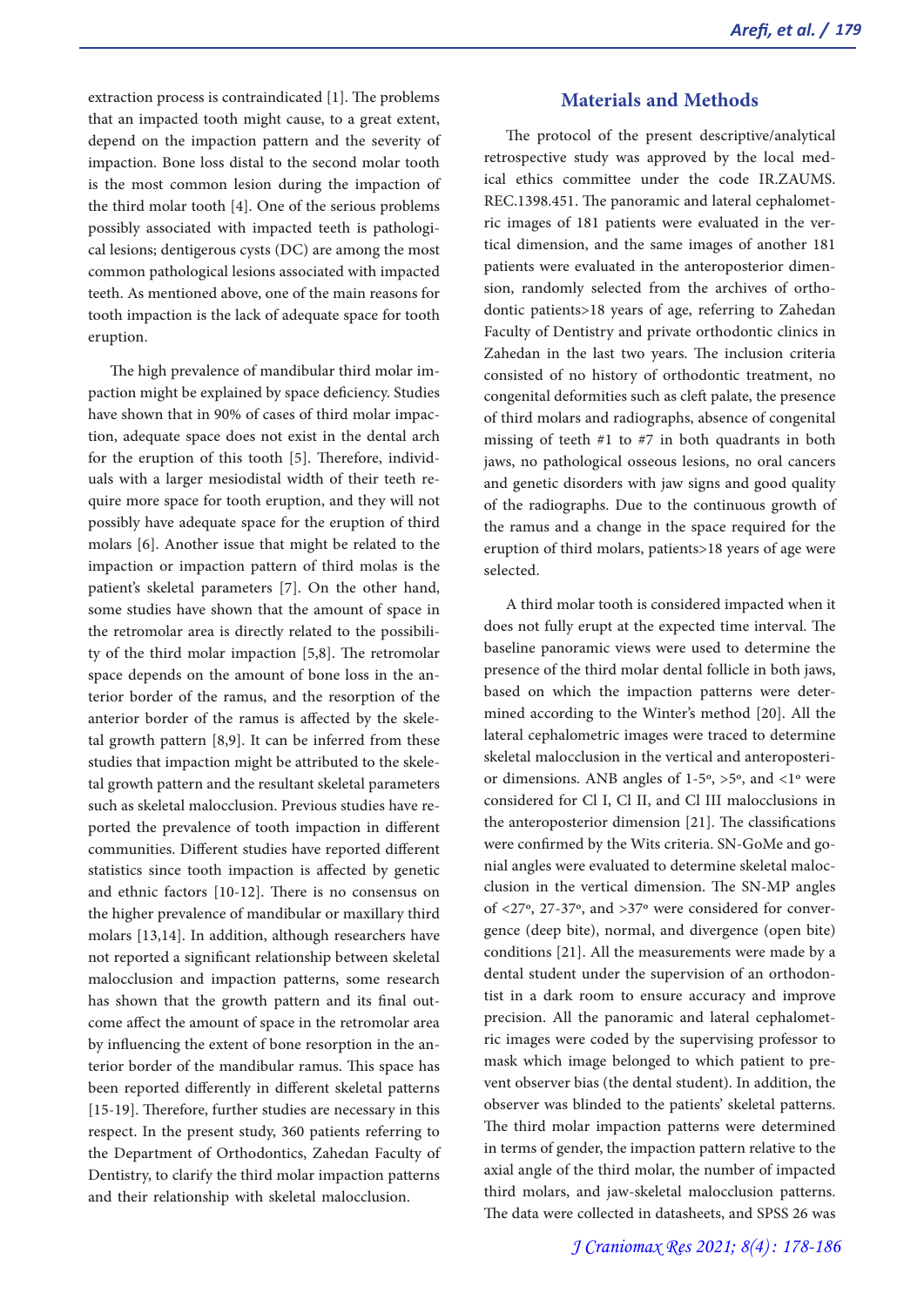extraction process is contraindicated [1]. The problems that an impacted tooth might cause, to a great extent, depend on the impaction pattern and the severity of impaction. Bone loss distal to the second molar tooth is the most common lesion during the impaction of the third molar tooth [4]. One of the serious problems possibly associated with impacted teeth is pathologi- cal lesions; dentigerous cysts (DC) are among the most common pathological lesions associated with impacted teeth. As mentioned above, one of the main reasons for tooth impaction is the lack of adequate space for tooth eruption.

The high prevalence of mandibular third molar impaction might be explained by space deficiency. Studies have shown that in 90% of cases of third molar impaction, adequate space does not exist in the dental arch for the eruption of this tooth [5]. Therefore, individuals with a larger mesiodistal width of their teeth require more space for tooth eruption, and they will not possibly have adequate space for the eruption of third molars [6]. Another issue that might be related to the impaction or impaction pattern of third molas is the patient's skeletal parameters [7]. On the other hand, some studies have shown that the amount of space in the retromolar area is directly related to the possibility of the third molar impaction [5,8]. The retromolar space depends on the amount of bone loss in the anterior border of the ramus, and the resorption of the anterior border of the ramus is affected by the skeletal growth pattern [8,9]. It can be inferred from these studies that impaction might be attributed to the skeletal growth pattern and the resultant skeletal parameters such as skeletal malocclusion. Previous studies have reported the prevalence of tooth impaction in different communities. Different studies have reported different statistics since tooth impaction is affected by genetic and ethnic factors [10-12]. There is no consensus on the higher prevalence of mandibular or maxillary third molars [13,14]. In addition, although researchers have not reported a significant relationship between skeletal malocclusion and impaction patterns, some research has shown that the growth pattern and its final out-<br>come affect the amount of space in the retromolar area by influencing the extent of bone resorption in the an- terior border of the mandibular ramus. This space has been reported differently in different skeletal patterns [15-19]. Therefore, further studies are necessary in this respect. In the present study, 360 patients referring to the Department of Orthodontics, Zahedan Faculty of Dentistry, to clarify the third molar impaction patterns and their relationship with skeletal malocclusion.

## **Materials and Methods**

The protocol of the present descriptive/analytical retrospective study was approved by the local med- ical ethics committee under the code IR.ZAUMS. REC.1398.451. The panoramic and lateral cephalometric images of 181 patients were evaluated in the vertical dimension, and the same images of another 181 patients were evaluated in the anteroposterior dimension, randomly selected from the archives of ortho-<br>dontic patients>18 years of age, referring to Zahedan Faculty of Dentistry and private orthodontic clinics in Zahedan in the last two years. The inclusion criteria consisted of no history of orthodontic treatment, no congenital deformities such as cleft palate, the presence of third molars and radiographs, absence of congenital missing of teeth #1 to #7 in both quadrants in both jaws, no pathological osseous lesions, no oral cancers and genetic disorders with jaw signs and good quality of the radiographs. Due to the continuous growth of the ramus and a change in the space required for the eruption of third molars, patients>18 years of age were selected.

A third molar tooth is considered impacted when it does not fully erupt at the expected time interval. The baseline panoramic views were used to determine the presence of the third molar dental follicle in both jaws, based on which the impaction patterns were determined according to the Winter's method [20]. All the lateral cephalometric images were traced to determine skeletal malocclusion in the vertical and anteroposterior dimensions. ANB angles of 1-5º, >5º, and <1º were considered for Cl I, Cl II, and Cl III malocclusions in the anteroposterior dimension [21]. The classifications were confirmed by the Wits criteria. SN-GoMe and gonial angles were evaluated to determine skeletal malocclusion in the vertical dimension. The SN-MP angles of  $\langle 27^\circ, 27-37^\circ,$  and  $>37^\circ$  were considered for convergence (deep bite), normal, and divergence (open bite) conditions [21]. All the measurements were made by a dental student under the supervision of an orthodon-<br>tist in a dark room to ensure accuracy and improve precision. All the panoramic and lateral cephalomet- ric images were coded by the supervising professor to mask which image belonged to which patient to pre- vent observer bias (the dental student). In addition, the observer was blinded to the patients' skeletal patterns. The third molar impaction patterns were determined in terms of gender, the impaction pattern relative to the axial angle of the third molar, the number of impacted third molars, and jaw-skeletal malocclusion patterns. The data were collected in datasheets, and SPSS 26 was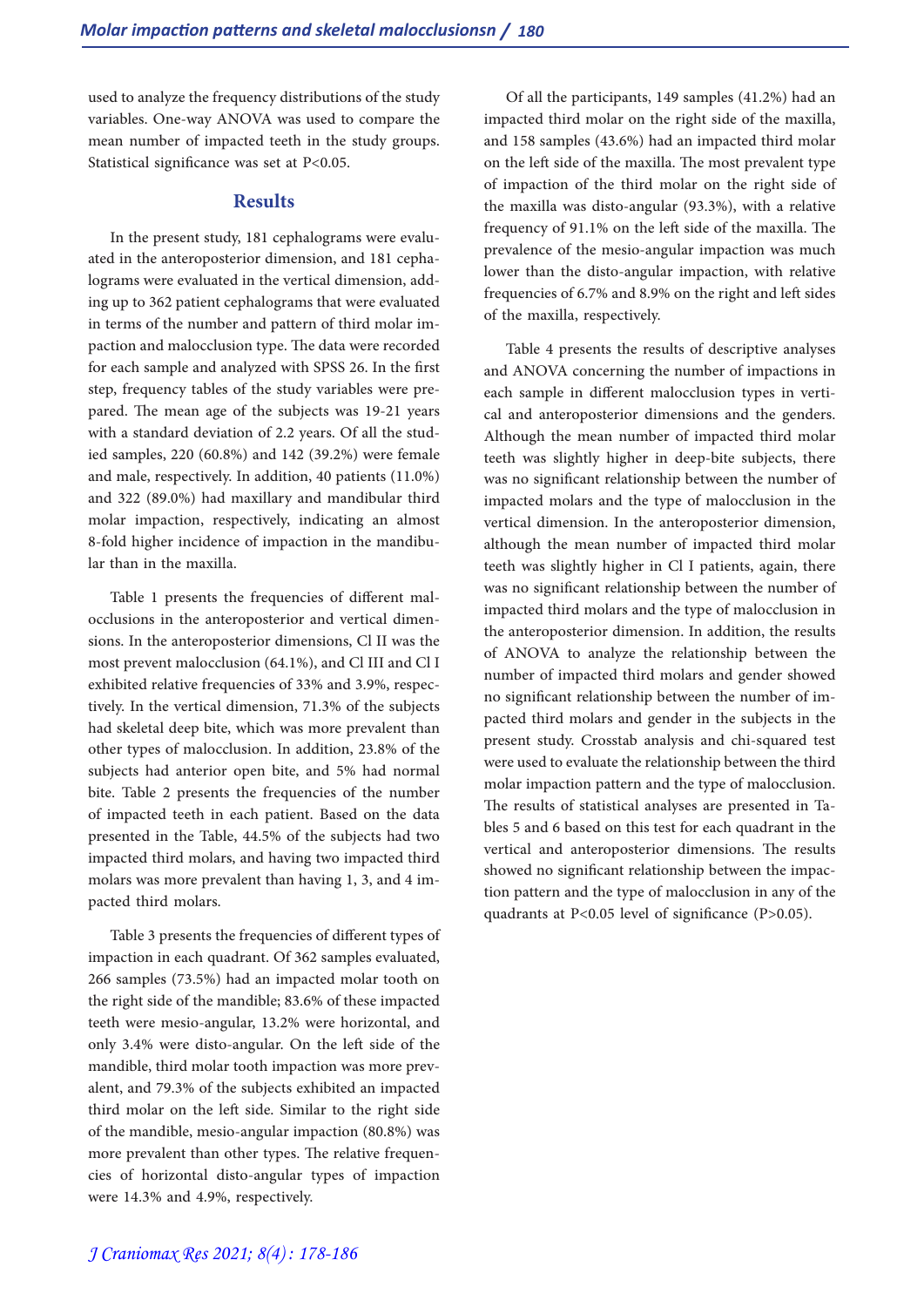used to analyze the frequency distributions of the study variables. One-way ANOVA was used to compare the mean number of impacted teeth in the study groups. Statistical significance was set at P<0.05.

#### **Results**

In the present study, 181 cephalograms were evaluated in the anteroposterior dimension, and 181 cephalograms were evaluated in the vertical dimension, adding up to 362 patient cephalograms that were evaluated in terms of the number and pattern of third molar impaction and malocclusion type. The data were recorded for each sample and analyzed with SPSS 26. In the first step, frequency tables of the study variables were prepared. The mean age of the subjects was 19-21 years with a standard deviation of 2.2 years. Of all the studied samples, 220 (60.8%) and 142 (39.2%) were female and male, respectively. In addition, 40 patients (11.0%) and 322 (89.0%) had maxillary and mandibular third molar impaction, respectively, indicating an almost 8-fold higher incidence of impaction in the mandibular than in the maxilla.

Table 1 presents the frequencies of different malocclusions in the anteroposterior and vertical dimensions. In the anteroposterior dimensions, Cl II was the most prevent malocclusion (64.1%), and Cl III and Cl I exhibited relative frequencies of 33% and 3.9%, respectively. In the vertical dimension, 71.3% of the subjects had skeletal deep bite, which was more prevalent than other types of malocclusion. In addition, 23.8% of the subjects had anterior open bite, and 5% had normal bite. Table 2 presents the frequencies of the number of impacted teeth in each patient. Based on the data presented in the Table, 44.5% of the subjects had two impacted third molars, and having two impacted third molars was more prevalent than having 1, 3, and 4 impacted third molars.

Table 3 presents the frequencies of different types of impaction in each quadrant. Of 362 samples evaluated, 266 samples (73.5%) had an impacted molar tooth on the right side of the mandible; 83.6% of these impacted teeth were mesio-angular, 13.2% were horizontal, and only 3.4% were disto-angular. On the left side of the mandible, third molar tooth impaction was more prev- alent, and 79.3% of the subjects exhibited an impacted third molar on the left side. Similar to the right side of the mandible, mesio-angular impaction (80.8%) was more prevalent than other types. The relative frequencies of horizontal disto-angular types of impaction were 14.3% and 4.9%, respectively.

Of all the participants, 149 samples (41.2%) had an impacted third molar on the right side of the maxilla, and 158 samples (43.6%) had an impacted third molar on the left side of the maxilla. The most prevalent type of impaction of the third molar on the right side of the maxilla was disto-angular (93.3%), with a relative frequency of 91.1% on the left side of the maxilla. The prevalence of the mesio-angular impaction was much lower than the disto-angular impaction, with relative frequencies of 6.7% and 8.9% on the right and left sides of the maxilla, respectively.

Table 4 presents the results of descriptive analyses and ANOVA concerning the number of impactions in each sample in different malocclusion types in vertical and anteroposterior dimensions and the genders. Although the mean number of impacted third molar teeth was slightly higher in deep-bite subjects, there was no significant relationship between the number of impacted molars and the type of malocclusion in the vertical dimension. In the anteroposterior dimension, although the mean number of impacted third molar teeth was slightly higher in Cl I patients, again, there was no significant relationship between the number of impacted third molars and the type of malocclusion in the anteroposterior dimension. In addition, the results of ANOVA to analyze the relationship between the number of impacted third molars and gender showed no significant relationship between the number of impacted third molars and gender in the subjects in the present study. Crosstab analysis and chi-squared test were used to evaluate the relationship between the third molar impaction pattern and the type of malocclusion. The results of statistical analyses are presented in Tables 5 and 6 based on this test for each quadrant in the vertical and anteroposterior dimensions. The results showed no significant relationship between the impac- tion pattern and the type of malocclusion in any of the quadrants at P<0.05 level of significance (P>0.05).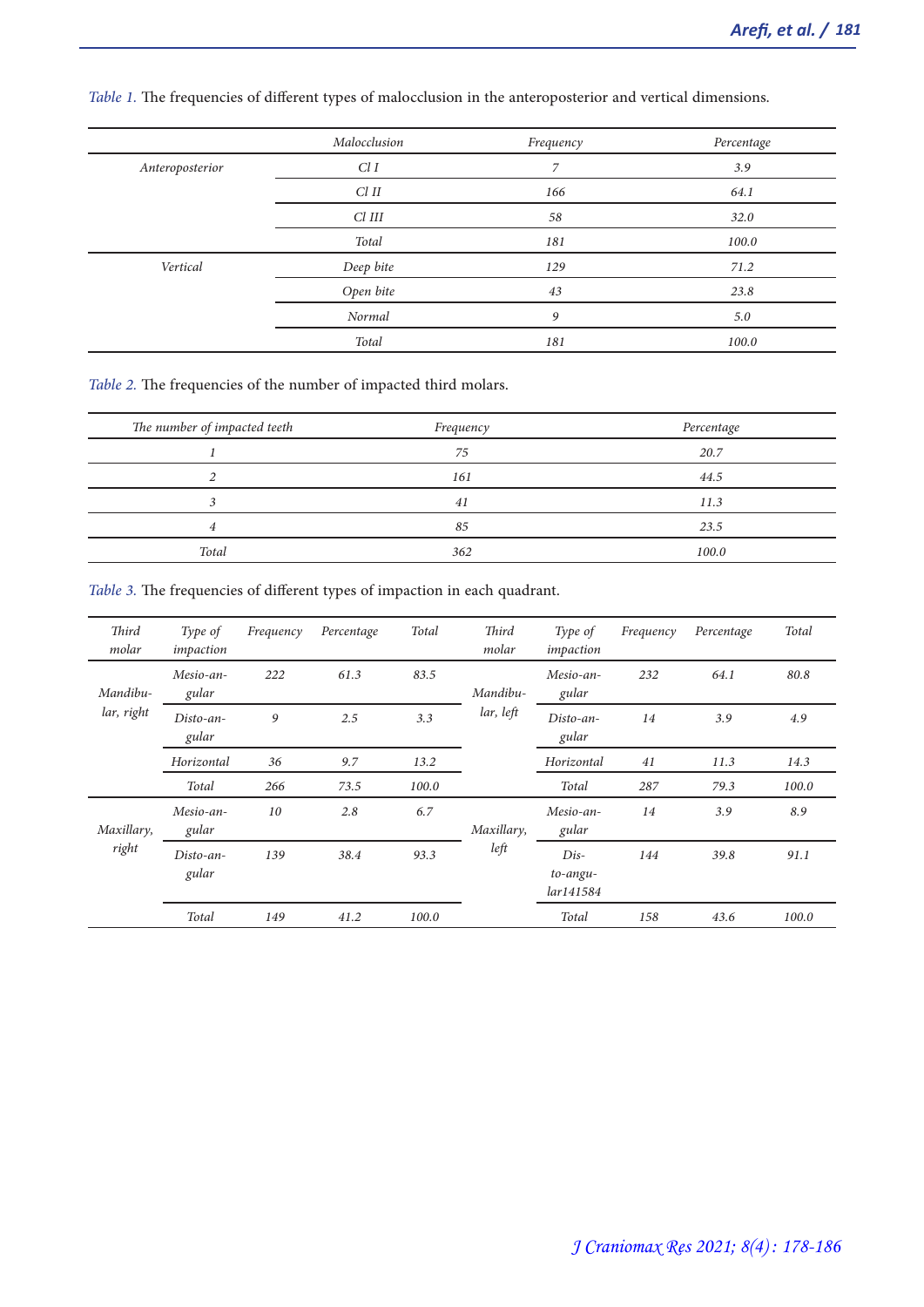|                 | Malocclusion | Frequency      | Percentage |
|-----------------|--------------|----------------|------------|
| Anteroposterior | ClI          | $\overline{7}$ | 3.9        |
|                 | $Cl$ $II$    | 166            | 64.1       |
|                 | $Cl$ $III$   | 58             | 32.0       |
|                 | Total        | 181            | 100.0      |
| Vertical        | Deep bite    | 129            | 71.2       |
|                 | Open bite    | 43             | 23.8       |
|                 | Normal       | 9              | 5.0        |
|                 | Total        | 181            | 100.0      |

*Table 1.* The frequencies of different types of malocclusion in the anteroposterior and vertical dimensions.

*Table 2.* The frequencies of the number of impacted third molars.

| The number of impacted teeth | Frequency | Percentage |
|------------------------------|-----------|------------|
|                              | 75        | 20.7       |
|                              | 161       | 44.5       |
|                              | 41        | 11.3       |
| 4                            | 85        | 23.5       |
| Total                        | 362       | 100.0      |

*Table 3.* The frequencies of different types of impaction in each quadrant.

| Third<br>molar         | Type of<br>impaction | Frequency | Percentage | Total | Third<br>molar | Type of<br>impaction            | Frequency | Percentage | Total |
|------------------------|----------------------|-----------|------------|-------|----------------|---------------------------------|-----------|------------|-------|
| Mandibu-<br>lar, right | Mesio-an-<br>gular   | 222       | 61.3       | 83.5  | Mandibu-       | Mesio-an-<br>gular              | 232       | 64.1       | 80.8  |
|                        | Disto-an-<br>gular   | 9         | 2.5        | 3.3   | lar, left      | Disto-an-<br>gular              | 14        | 3.9        | 4.9   |
|                        | Horizontal           | 36        | 9.7        | 13.2  |                | Horizontal                      | 41        | 11.3       | 14.3  |
|                        | Total                | 266       | 73.5       | 100.0 |                | Total                           | 287       | 79.3       | 100.0 |
| Maxillary,<br>right    | Mesio-an-<br>gular   | 10        | 2.8        | 6.7   | Maxillary,     | Mesio-an-<br>gular              | 14        | 3.9        | 8.9   |
|                        | Disto-an-<br>gular   | 139       | 38.4       | 93.3  | left           | $Dis-$<br>to-angu-<br>lar141584 | 144       | 39.8       | 91.1  |
|                        | Total                | 149       | 41.2       | 100.0 |                | Total                           | 158       | 43.6       | 100.0 |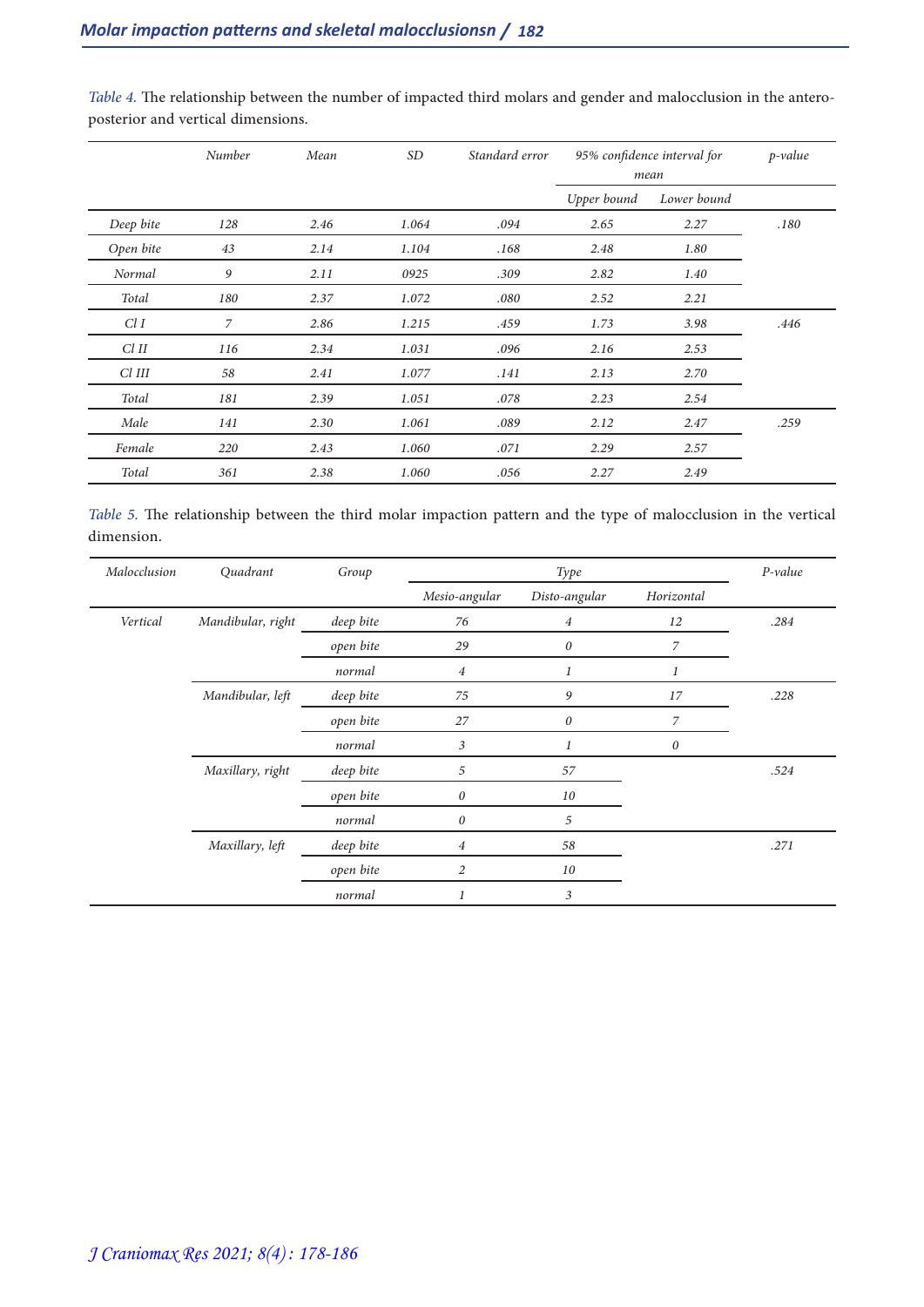|           | Number | Mean | <b>SD</b> | Standard error | 95% confidence interval for<br>mean |             | $p$ -value |
|-----------|--------|------|-----------|----------------|-------------------------------------|-------------|------------|
|           |        |      |           |                | Upper bound                         | Lower bound |            |
| Deep bite | 128    | 2.46 | 1.064     | .094           | 2.65                                | 2.27        | .180       |
| Open bite | 43     | 2.14 | 1.104     | .168           | 2.48                                | 1.80        |            |
| Normal    | 9      | 2.11 | 0925      | .309           | 2.82                                | 1.40        |            |
| Total     | 180    | 2.37 | 1.072     | .080           | 2.52                                | 2.21        |            |
| Cl I      | 7      | 2.86 | 1.215     | .459           | 1.73                                | 3.98        | .446       |
| $Cl$ $II$ | 116    | 2.34 | 1.031     | .096           | 2.16                                | 2.53        |            |
| Cl III    | 58     | 2.41 | 1.077     | .141           | 2.13                                | 2.70        |            |
| Total     | 181    | 2.39 | 1.051     | .078           | 2.23                                | 2.54        |            |
| Male      | 141    | 2.30 | 1.061     | .089           | 2.12                                | 2.47        | .259       |
| Female    | 220    | 2.43 | 1.060     | .071           | 2.29                                | 2.57        |            |
| Total     | 361    | 2.38 | 1.060     | .056           | 2.27                                | 2.49        |            |

*Table 4.* The relationship between the number of impacted third molars and gender and malocclusion in the antero- posterior and vertical dimensions.

| Table 5. The relationship between the third molar impaction pattern and the type of malocclusion in the vertical |  |  |  |  |
|------------------------------------------------------------------------------------------------------------------|--|--|--|--|
| dimension.                                                                                                       |  |  |  |  |

| Malocclusion | Quadrant          | Group     |                  | Type             |                  |      |  |
|--------------|-------------------|-----------|------------------|------------------|------------------|------|--|
|              |                   |           | Mesio-angular    | Disto-angular    | Horizontal       |      |  |
| Vertical     | Mandibular, right | deep bite | 76               | $\overline{4}$   | 12               | .284 |  |
|              |                   | open bite | 29               | $\boldsymbol{0}$ | $\overline{z}$   |      |  |
|              |                   | normal    | 4                | 1                | 1                |      |  |
|              | Mandibular, left  | deep bite | 75               | 9                | 17               | .228 |  |
|              |                   | open bite | 27               | $\boldsymbol{0}$ | $\overline{z}$   |      |  |
|              |                   | normal    | 3                | 1                | $\boldsymbol{0}$ |      |  |
|              | Maxillary, right  | deep bite | 5                | 57               |                  | .524 |  |
|              |                   | open bite | $\theta$         | 10               |                  |      |  |
|              |                   | normal    | $\boldsymbol{0}$ | 5                |                  |      |  |
|              | Maxillary, left   | deep bite | 4                | 58               |                  | .271 |  |
|              |                   | open bite | $\overline{2}$   | 10               |                  |      |  |
|              |                   | normal    | 1                | 3                |                  |      |  |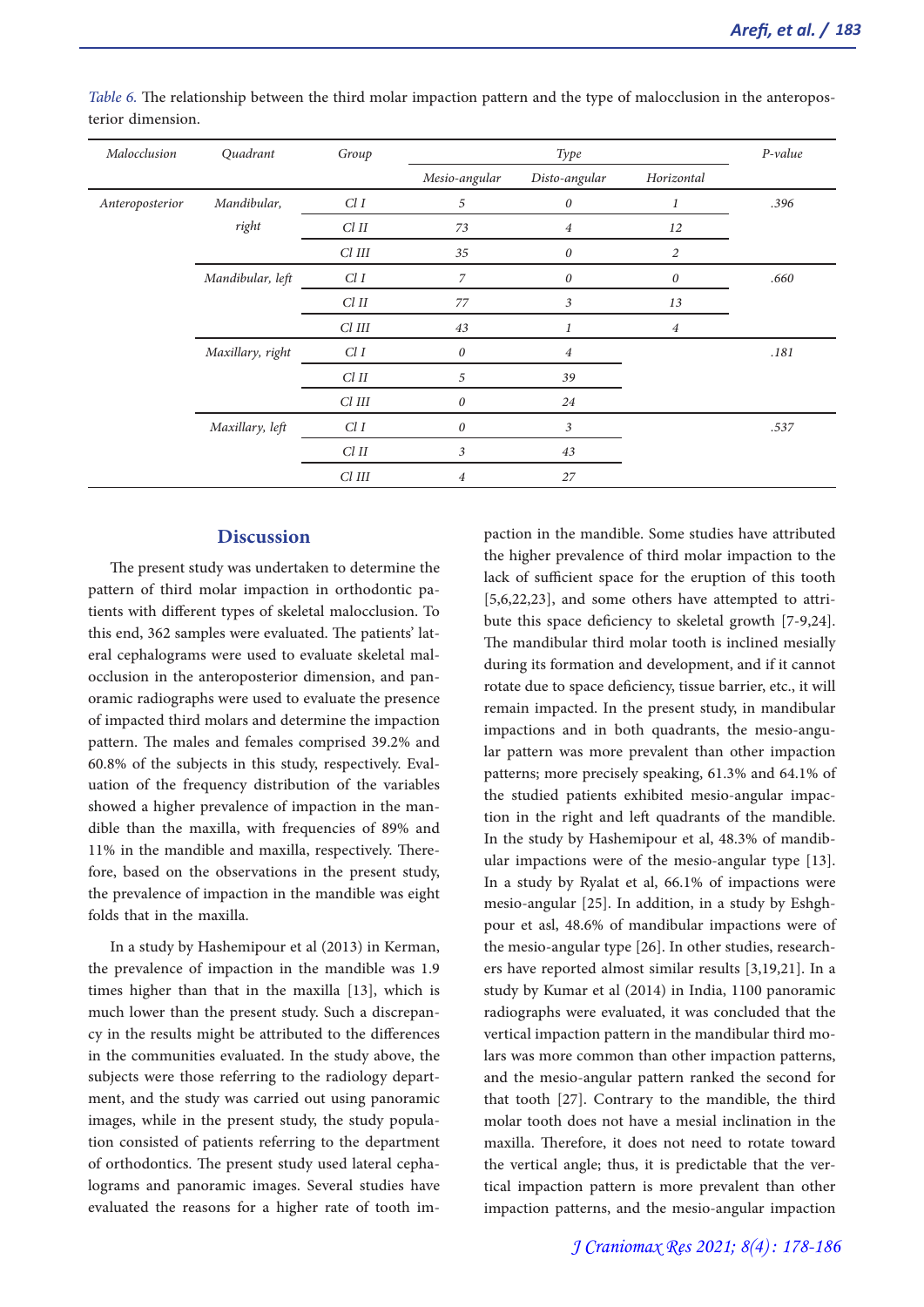| Malocclusion    | Quadrant         | Group      |                  | Type                  |                  |      |
|-----------------|------------------|------------|------------------|-----------------------|------------------|------|
|                 |                  |            | Mesio-angular    | Disto-angular         | Horizontal       |      |
| Anteroposterior | Mandibular,      | ClI        | 5                | $\theta$              | 1                | .396 |
|                 | right            | $Cl$ $II$  | 73               | $\overline{4}$        | 12               |      |
|                 |                  | $Cl$ $III$ | 35               | $\boldsymbol{\theta}$ | $\overline{2}$   |      |
|                 | Mandibular, left | ClI        | $\overline{z}$   | $\boldsymbol{0}$      | $\boldsymbol{0}$ | .660 |
|                 |                  | $Cl$ $II$  | 77               | 3                     | 13               |      |
|                 |                  | $Cl$ $III$ | 43               |                       | $\overline{4}$   |      |
|                 | Maxillary, right | ClI        | $\boldsymbol{0}$ | $\overline{4}$        |                  | .181 |
|                 |                  | $Cl$ $II$  | 5                | 39                    |                  |      |
|                 |                  | $Cl$ $III$ | $\boldsymbol{0}$ | 24                    |                  |      |
|                 | Maxillary, left  | ClI        | 0                | 3                     |                  | .537 |
|                 |                  | $Cl$ $II$  | 3                | 43                    |                  |      |
|                 |                  | $Cl$ $III$ | $\overline{4}$   | 27                    |                  |      |

*Table 6.* The relationship between the third molar impaction pattern and the type of malocclusion in the anteropos- terior dimension.

## **Discussion**

The present study was undertaken to determine the pattern of third molar impaction in orthodontic patients with different types of skeletal malocclusion. To this end, 362 samples were evaluated. The patients' lat-<br>eral cephalograms were used to evaluate skeletal mal-<br>occlusion in the anteroposterior dimension, and pan-<br>oramic radiographs were used to evaluate the presence of impacted third molars and determine the impaction pattern. The males and females comprised 39.2% and 60.8% of the subjects in this study, respectively. Eval- uation of the frequency distribution of the variables showed a higher prevalence of impaction in the man-<br>dible than the maxilla, with frequencies of 89% and 11% in the mandible and maxilla, respectively. There- fore, based on the observations in the present study, the prevalence of impaction in the mandible was eight folds that in the maxilla.

In a study by Hashemipour et al (2013) in Kerman, the prevalence of impaction in the mandible was 1.9 times higher than that in the maxilla [13], which is much lower than the present study. Such a discrepan- cy in the results might be attributed to the differences in the communities evaluated. In the study above, the subjects were those referring to the radiology department, and the study was carried out using panoramic images, while in the present study, the study population consisted of patients referring to the department of orthodontics. The present study used lateral cephalograms and panoramic images. Several studies have evaluated the reasons for a higher rate of tooth impaction in the mandible. Some studies have attributed the higher prevalence of third molar impaction to the lack of sufficient space for the eruption of this tooth [5,6,22,23], and some others have attempted to attri- bute this space deficiency to skeletal growth [7-9,24]. The mandibular third molar tooth is inclined mesially during its formation and development, and if it cannot rotate due to space deficiency, tissue barrier, etc., it will remain impacted. In the present study, in mandibular impactions and in both quadrants, the mesio-angular pattern was more prevalent than other impaction patterns; more precisely speaking, 61.3% and 64.1% of tion in the right and left quadrants of the mandible. In the study by Hashemipour et al, 48.3% of mandib- ular impactions were of the mesio-angular type [13]. In a study by Ryalat et al, 66.1% of impactions were mesio-angular [25]. In addition, in a study by Eshghpour et asl, 48.6% of mandibular impactions were of the mesio-angular type [26]. In other studies, research-<br>ers have reported almost similar results [3,19,21]. In a study by Kumar et al (2014) in India, 1100 panoramic radiographs were evaluated, it was concluded that the vertical impaction pattern in the mandibular third mo-<br>lars was more common than other impaction patterns, and the mesio-angular pattern ranked the second for that tooth [27]. Contrary to the mandible, the third molar tooth does not have a mesial inclination in the maxilla. Therefore, it does not need to rotate toward the vertical angle; thus, it is predictable that the vertical impaction pattern is more prevalent than other impaction patterns, and the mesio-angular impaction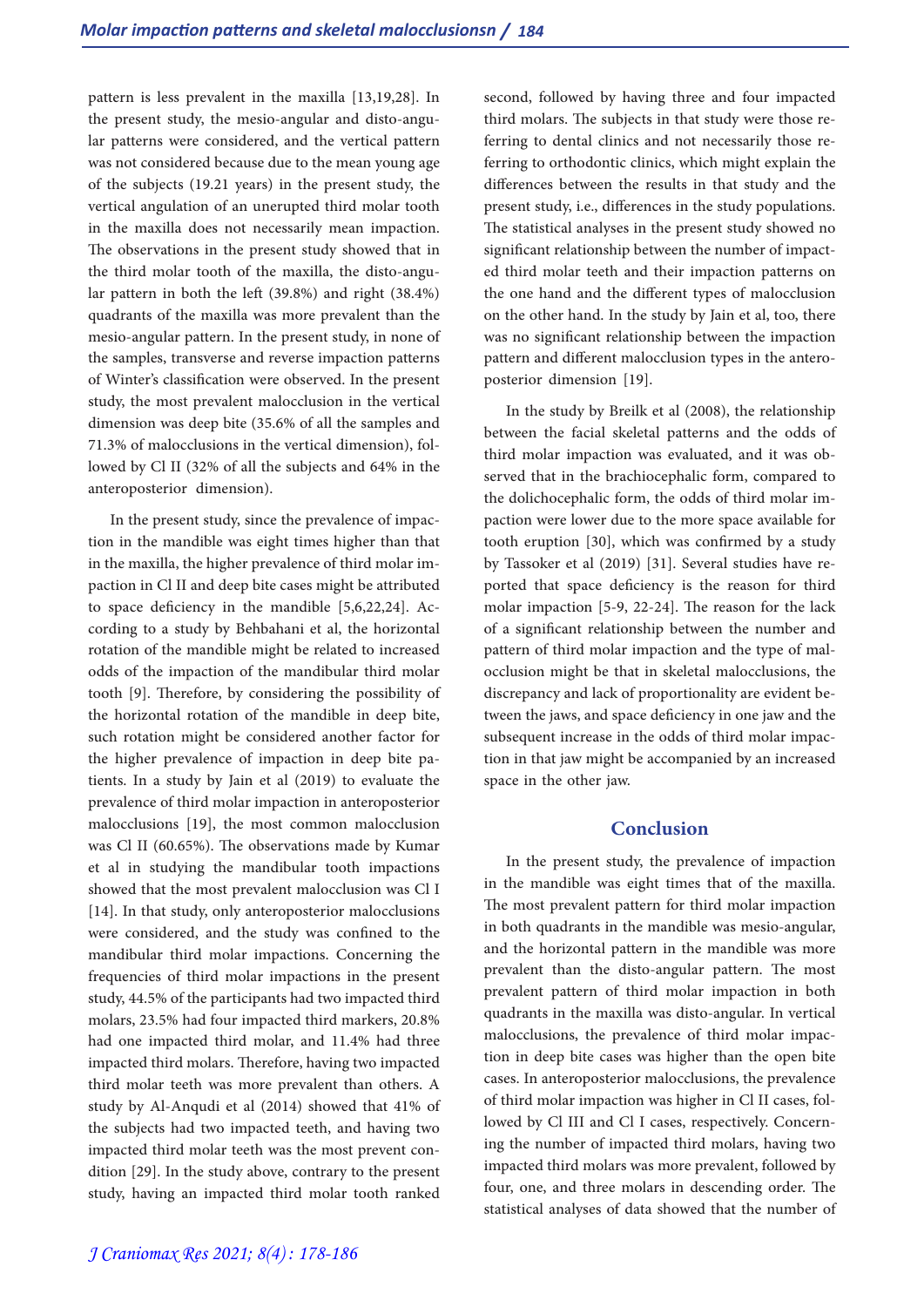pattern is less prevalent in the maxilla [13,19,28]. In the present study, the mesio-angular and disto-angu- lar patterns were considered, and the vertical pattern was not considered because due to the mean young age of the subjects (19.21 years) in the present study, the vertical angulation of an unerupted third molar tooth in the maxilla does not necessarily mean impaction. The observations in the present study showed that in the third molar tooth of the maxilla, the disto-angular pattern in both the left (39.8%) and right (38.4%) quadrants of the maxilla was more prevalent than the mesio-angular pattern. In the present study, in none of the samples, transverse and reverse impaction patterns of Winter's classification were observed. In the present study, the most prevalent malocclusion in the vertical dimension was deep bite (35.6% of all the samples and 71.3% of malocclusions in the vertical dimension), fol- lowed by Cl II (32% of all the subjects and 64% in the anteroposterior dimension).

In the present study, since the prevalence of impaction in the mandible was eight times higher than that in the maxilla, the higher prevalence of third molar impaction in Cl II and deep bite cases might be attributed<br>to space deficiency in the mandible [5,6,22,24]. According to a study by Behbahani et al, the horizontal rotation of the mandible might be related to increased odds of the impaction of the mandibular third molar tooth [9]. Therefore, by considering the possibility of the horizontal rotation of the mandible in deep bite, such rotation might be considered another factor for the higher prevalence of impaction in deep bite patients. In a study by Jain et al (2019) to evaluate the prevalence of third molar impaction in anteroposterior malocclusions [19], the most common malocclusion was Cl II (60.65%). The observations made by Kumar et al in studying the mandibular tooth impactions showed that the most prevalent malocclusion was Cl I [14]. In that study, only anteroposterior malocclusions were considered, and the study was confined to the mandibular third molar impactions. Concerning the frequencies of third molar impactions in the present study, 44.5% of the participants had two impacted third molars, 23.5% had four impacted third markers, 20.8% had one impacted third molar, and 11.4% had three impacted third molars. Therefore, having two impacted third molar teeth was more prevalent than others. A study by Al-Anqudi et al (2014) showed that 41% of the subjects had two impacted teeth, and having two impacted third molar teeth was the most prevent condition [29]. In the study above, contrary to the present study, having an impacted third molar tooth ranked

second, followed by having three and four impacted third molars. The subjects in that study were those referring to dental clinics and not necessarily those referring to orthodontic clinics, which might explain the differences between the results in that study and the present study, i.e., differences in the study populations. The statistical analyses in the present study showed no significant relationship between the number of impact- ed third molar teeth and their impaction patterns on the one hand and the different types of malocclusion on the other hand. In the study by Jain et al, too, there was no significant relationship between the impaction pattern and different malocclusion types in the antero-<br>posterior dimension [19].

In the study by Breilk et al (2008), the relationship between the facial skeletal patterns and the odds of third molar impaction was evaluated, and it was observed that in the brachiocephalic form, compared to the dolichocephalic form, the odds of third molar im- paction were lower due to the more space available for tooth eruption [30], which was confirmed by a study by Tassoker et al (2019) [31]. Several studies have reported that space deficiency is the reason for third molar impaction [5-9, 22-24]. The reason for the lack of a significant relationship between the number and pattern of third molar impaction and the type of mal- occlusion might be that in skeletal malocclusions, the discrepancy and lack of proportionality are evident between the jaws, and space deficiency in one jaw and the subsequent increase in the odds of third molar impaction in that jaw might be accompanied by an increased space in the other jaw.

#### **Conclusion**

In the present study, the prevalence of impaction in the mandible was eight times that of the maxilla. The most prevalent pattern for third molar impaction in both quadrants in the mandible was mesio-angular, and the horizontal pattern in the mandible was more prevalent than the disto-angular pattern. The most prevalent pattern of third molar impaction in both quadrants in the maxilla was disto-angular. In vertical malocclusions, the prevalence of third molar impaction in deep bite cases was higher than the open bite cases. In anteroposterior malocclusions, the prevalence of third molar impaction was higher in Cl II cases, followed by Cl III and Cl I cases, respectively. Concerning the number of impacted third molars, having two impacted third molars was more prevalent, followed by four, one, and three molars in descending order. The statistical analyses of data showed that the number of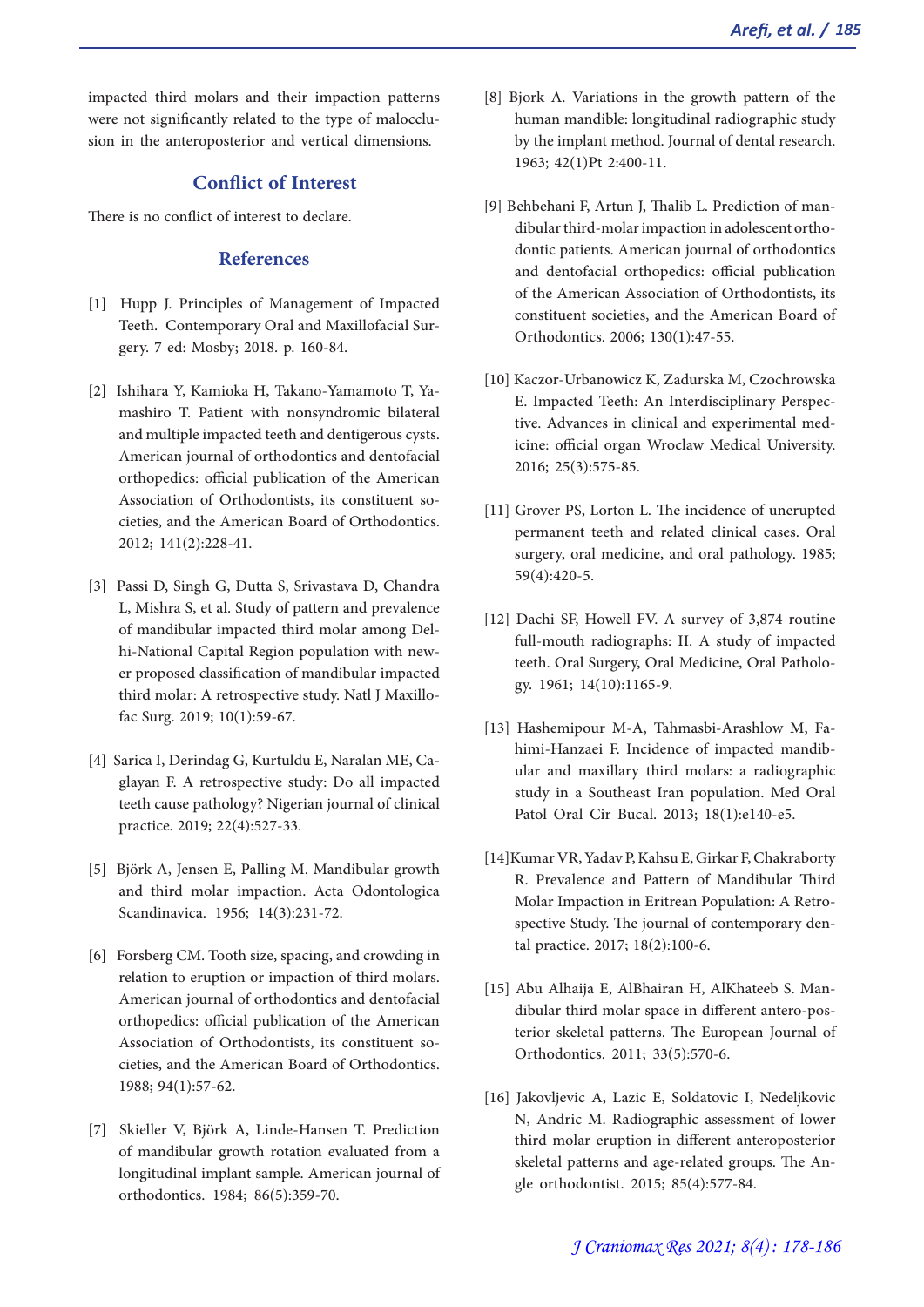impacted third molars and their impaction patterns were not significantly related to the type of malocclu- sion in the anteroposterior and vertical dimensions.

# **Conflict of Interest**

There is no conflict of interest to declare.

### **References**

- [1] Hupp J. Principles of Management of Impacted Teeth. Contemporary Oral and Maxillofacial Sur- gery. 7 ed: Mosby; 2018. p. 160-84.
- [2] Ishihara Y, Kamioka H, Takano-Yamamoto T, Ya- mashiro T. Patient with nonsyndromic bilateral and multiple impacted teeth and dentigerous cysts. American journal of orthodontics and dentofacial orthopedics: official publication of the American cieties, and the American Board of Orthodontics. 2012; 141(2):228-41.
- [3] Passi D, Singh G, Dutta S, Srivastava D, Chandra L, Mishra S, et al. Study of pattern and prevalence of mandibular impacted third molar among Delhi-National Capital Region population with newer proposed classification of mandibular impacted third molar: A retrospective study. Natl J Maxillofac Surg. 2019; 10(1):59-67.
- [4] Sarica I, Derindag G, Kurtuldu E, Naralan ME, Caglayan F. A retrospective study: Do all impacted teeth cause pathology? Nigerian journal of clinical practice. 2019; 22(4):527-33.
- [5] Björk A, Jensen E, Palling M. Mandibular growth and third molar impaction. Acta Odontologica Scandinavica. 1956; 14(3):231-72.
- [6] Forsberg CM. Tooth size, spacing, and crowding in relation to eruption or impaction of third molars. American journal of orthodontics and dentofacial orthopedics: official publication of the American cieties, and the American Board of Orthodontics. 1988; 94(1):57-62.
- [7] Skieller V, Björk A, Linde-Hansen T. Prediction of mandibular growth rotation evaluated from a longitudinal implant sample. American journal of orthodontics. 1984; 86(5):359-70.
- [8] Bjork A. Variations in the growth pattern of the human mandible: longitudinal radiographic study by the implant method. Journal of dental research. 1963; 42(1)Pt 2:400-11.
- [9] Behbehani F, Artun J, Thalib L. Prediction of man- dibular third-molar impaction in adolescent ortho- dontic patients. American journal of orthodontics and dentofacial orthopedics: official publication of the American Association of Orthodontists, its constituent societies, and the American Board of Orthodontics. 2006; 130(1):47-55.
- [10] Kaczor-Urbanowicz K, Zadurska M, Czochrowska tive. Advances in clinical and experimental med-<br>icine: official organ Wroclaw Medical University. 2016; 25(3):575-85.
- [11] Grover PS, Lorton L. The incidence of unerupted permanent teeth and related clinical cases. Oral surgery, oral medicine, and oral pathology. 1985; 59(4):420-5.
- [12] Dachi SF, Howell FV. A survey of 3,874 routine full-mouth radiographs: II. A study of impacted teeth. Oral Surgery, Oral Medicine, Oral Pathology. 1961; 14(10):1165-9.
- [13] Hashemipour M-A, Tahmasbi-Arashlow M, Fahimi-Hanzaei F. Incidence of impacted mandibular and maxillary third molars: a radiographic study in a Southeast Iran population. Med Oral Patol Oral Cir Bucal. 2013; 18(1):e140-e5.
- [14]Kumar VR, Yadav P, Kahsu E, Girkar F, Chakraborty R. Prevalence and Pattern of Mandibular Third Molar Impaction in Eritrean Population: A Retrospective Study. The journal of contemporary dental practice. 2017; 18(2):100-6.
- [15] Abu Alhaija E, AlBhairan H, AlKhateeb S. Man- dibular third molar space in different antero-pos- terior skeletal patterns. The European Journal of Orthodontics. 2011; 33(5):570-6.
- [16] Jakovljevic A, Lazic E, Soldatovic I, Nedeljkovic N, Andric M. Radiographic assessment of lower third molar eruption in different anteroposterior skeletal patterns and age-related groups. The Angle orthodontist. 2015; 85(4):577-84.